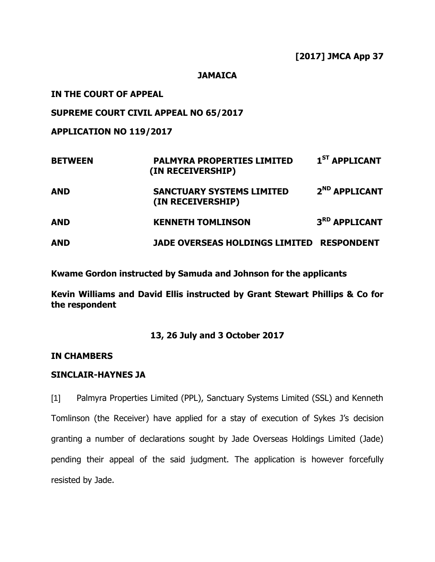#### **JAMAICA**

### **IN THE COURT OF APPEAL**

### **SUPREME COURT CIVIL APPEAL NO 65/2017**

**APPLICATION NO 119/2017**

| <b>BETWEEN</b> | <b>PALMYRA PROPERTIES LIMITED</b><br>(IN RECEIVERSHIP) | 1 <sup>ST</sup> APPLICANT |
|----------------|--------------------------------------------------------|---------------------------|
| <b>AND</b>     | <b>SANCTUARY SYSTEMS LIMITED</b><br>(IN RECEIVERSHIP)  | 2 <sup>ND</sup> APPLICANT |
| <b>AND</b>     | <b>KENNETH TOMLINSON</b>                               | 3 <sup>RD</sup> APPLICANT |
| <b>AND</b>     | <b>JADE OVERSEAS HOLDINGS LIMITED</b>                  | <b>RESPONDENT</b>         |

**Kwame Gordon instructed by Samuda and Johnson for the applicants**

**Kevin Williams and David Ellis instructed by Grant Stewart Phillips & Co for the respondent**

#### **13, 26 July and 3 October 2017**

## **IN CHAMBERS**

## **SINCLAIR-HAYNES JA**

[1] Palmyra Properties Limited (PPL), Sanctuary Systems Limited (SSL) and Kenneth Tomlinson (the Receiver) have applied for a stay of execution of Sykes J's decision granting a number of declarations sought by Jade Overseas Holdings Limited (Jade) pending their appeal of the said judgment. The application is however forcefully resisted by Jade.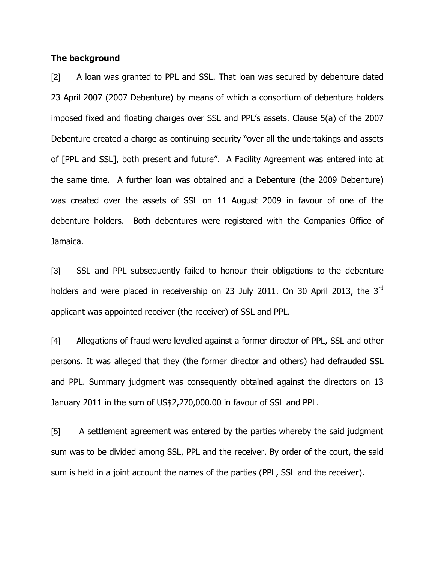#### **The background**

[2] A loan was granted to PPL and SSL. That loan was secured by debenture dated 23 April 2007 (2007 Debenture) by means of which a consortium of debenture holders imposed fixed and floating charges over SSL and PPL"s assets. Clause 5(a) of the 2007 Debenture created a charge as continuing security "over all the undertakings and assets of [PPL and SSL], both present and future". A Facility Agreement was entered into at the same time. A further loan was obtained and a Debenture (the 2009 Debenture) was created over the assets of SSL on 11 August 2009 in favour of one of the debenture holders. Both debentures were registered with the Companies Office of Jamaica.

[3] SSL and PPL subsequently failed to honour their obligations to the debenture holders and were placed in receivership on 23 July 2011. On 30 April 2013, the 3<sup>rd</sup> applicant was appointed receiver (the receiver) of SSL and PPL.

[4] Allegations of fraud were levelled against a former director of PPL, SSL and other persons. It was alleged that they (the former director and others) had defrauded SSL and PPL. Summary judgment was consequently obtained against the directors on 13 January 2011 in the sum of US\$2,270,000.00 in favour of SSL and PPL.

[5] A settlement agreement was entered by the parties whereby the said judgment sum was to be divided among SSL, PPL and the receiver. By order of the court, the said sum is held in a joint account the names of the parties (PPL, SSL and the receiver).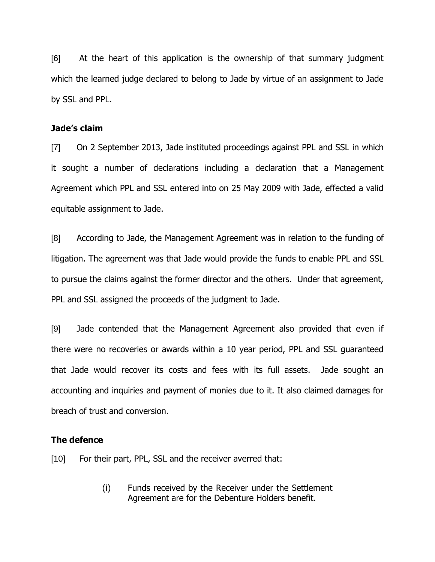[6] At the heart of this application is the ownership of that summary judgment which the learned judge declared to belong to Jade by virtue of an assignment to Jade by SSL and PPL.

#### **Jade's claim**

[7] On 2 September 2013, Jade instituted proceedings against PPL and SSL in which it sought a number of declarations including a declaration that a Management Agreement which PPL and SSL entered into on 25 May 2009 with Jade, effected a valid equitable assignment to Jade.

[8] According to Jade, the Management Agreement was in relation to the funding of litigation. The agreement was that Jade would provide the funds to enable PPL and SSL to pursue the claims against the former director and the others. Under that agreement, PPL and SSL assigned the proceeds of the judgment to Jade.

[9] Jade contended that the Management Agreement also provided that even if there were no recoveries or awards within a 10 year period, PPL and SSL guaranteed that Jade would recover its costs and fees with its full assets. Jade sought an accounting and inquiries and payment of monies due to it. It also claimed damages for breach of trust and conversion.

#### **The defence**

[10] For their part, PPL, SSL and the receiver averred that:

(i) Funds received by the Receiver under the Settlement Agreement are for the Debenture Holders benefit.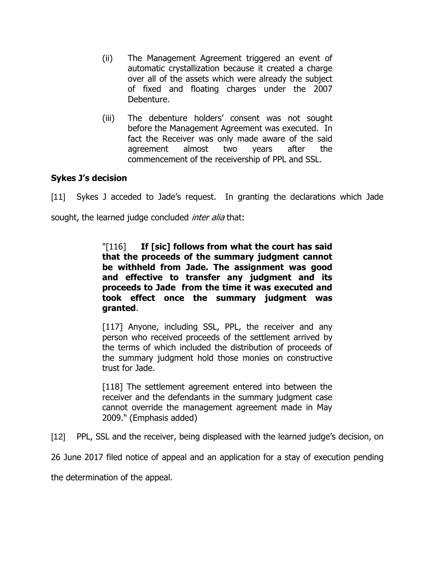- (ii) The Management Agreement triggered an event of automatic crystallization because it created a charge over all of the assets which were already the subject of fixed and floating charges under the 2007 Debenture.
- (iii) The debenture holders" consent was not sought before the Management Agreement was executed. In fact the Receiver was only made aware of the said agreement almost two years after the commencement of the receivership of PPL and SSL.

# **Sykes J's decision**

[11] Sykes J acceded to Jade"s request. In granting the declarations which Jade

sought, the learned judge concluded *inter alia* that:

"[116] **If [sic] follows from what the court has said that the proceeds of the summary judgment cannot be withheld from Jade. The assignment was good and effective to transfer any judgment and its proceeds to Jade from the time it was executed and took effect once the summary judgment was granted**.

[117] Anyone, including SSL, PPL, the receiver and any person who received proceeds of the settlement arrived by the terms of which included the distribution of proceeds of the summary judgment hold those monies on constructive trust for Jade.

[118] The settlement agreement entered into between the receiver and the defendants in the summary judgment case cannot override the management agreement made in May 2009." (Emphasis added)

[12] PPL, SSL and the receiver, being displeased with the learned judge"s decision, on

26 June 2017 filed notice of appeal and an application for a stay of execution pending

the determination of the appeal.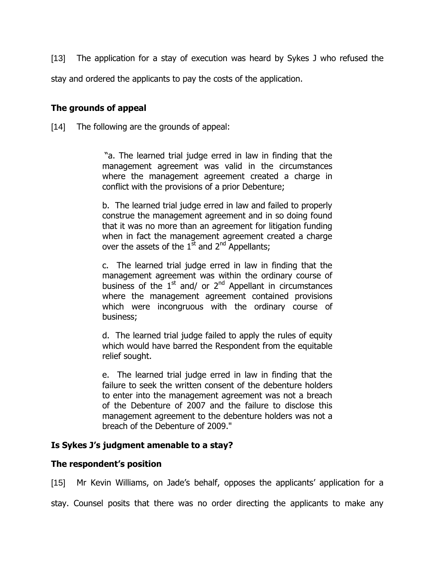[13] The application for a stay of execution was heard by Sykes J who refused the stay and ordered the applicants to pay the costs of the application.

## **The grounds of appeal**

[14] The following are the grounds of appeal:

"a. The learned trial judge erred in law in finding that the management agreement was valid in the circumstances where the management agreement created a charge in conflict with the provisions of a prior Debenture;

b. The learned trial judge erred in law and failed to properly construe the management agreement and in so doing found that it was no more than an agreement for litigation funding when in fact the management agreement created a charge over the assets of the  $1^{\overline{st}}$  and  $2^{\text{nd}}$  Appellants;

c. The learned trial judge erred in law in finding that the management agreement was within the ordinary course of business of the  $1<sup>st</sup>$  and/ or  $2<sup>nd</sup>$  Appellant in circumstances where the management agreement contained provisions which were incongruous with the ordinary course of business;

d. The learned trial judge failed to apply the rules of equity which would have barred the Respondent from the equitable relief sought.

e. The learned trial judge erred in law in finding that the failure to seek the written consent of the debenture holders to enter into the management agreement was not a breach of the Debenture of 2007 and the failure to disclose this management agreement to the debenture holders was not a breach of the Debenture of 2009."

## **Is Sykes J's judgment amenable to a stay?**

## **The respondent's position**

[15] Mr Kevin Williams, on Jade's behalf, opposes the applicants' application for a

stay. Counsel posits that there was no order directing the applicants to make any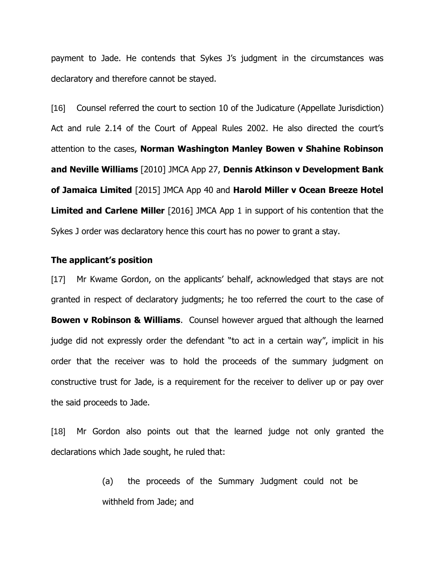payment to Jade. He contends that Sykes J's judgment in the circumstances was declaratory and therefore cannot be stayed.

[16] Counsel referred the court to section 10 of the Judicature (Appellate Jurisdiction) Act and rule 2.14 of the Court of Appeal Rules 2002. He also directed the court's attention to the cases, **Norman Washington Manley Bowen v Shahine Robinson and Neville Williams** [2010] JMCA App 27, **Dennis Atkinson v Development Bank of Jamaica Limited** [2015] JMCA App 40 and **Harold Miller v Ocean Breeze Hotel Limited and Carlene Miller** [2016] JMCA App 1 in support of his contention that the Sykes J order was declaratory hence this court has no power to grant a stay.

#### **The applicant's position**

[17] Mr Kwame Gordon, on the applicants" behalf, acknowledged that stays are not granted in respect of declaratory judgments; he too referred the court to the case of **Bowen v Robinson & Williams**. Counsel however argued that although the learned judge did not expressly order the defendant "to act in a certain way", implicit in his order that the receiver was to hold the proceeds of the summary judgment on constructive trust for Jade, is a requirement for the receiver to deliver up or pay over the said proceeds to Jade.

[18] Mr Gordon also points out that the learned judge not only granted the declarations which Jade sought, he ruled that:

> (a) the proceeds of the Summary Judgment could not be withheld from Jade; and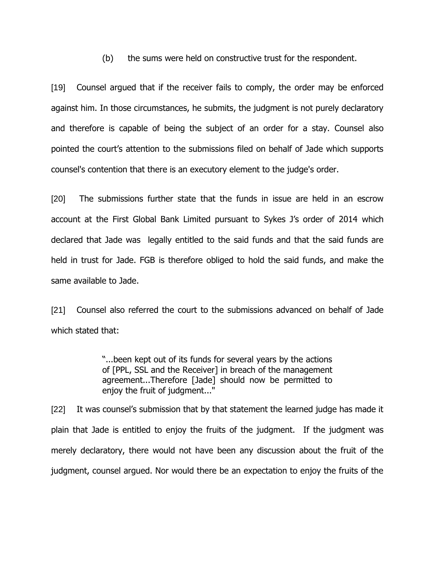(b) the sums were held on constructive trust for the respondent.

[19] Counsel argued that if the receiver fails to comply, the order may be enforced against him. In those circumstances, he submits, the judgment is not purely declaratory and therefore is capable of being the subject of an order for a stay. Counsel also pointed the court"s attention to the submissions filed on behalf of Jade which supports counsel's contention that there is an executory element to the judge's order.

[20] The submissions further state that the funds in issue are held in an escrow account at the First Global Bank Limited pursuant to Sykes J"s order of 2014 which declared that Jade was legally entitled to the said funds and that the said funds are held in trust for Jade. FGB is therefore obliged to hold the said funds, and make the same available to Jade.

[21] Counsel also referred the court to the submissions advanced on behalf of Jade which stated that:

> "...been kept out of its funds for several years by the actions of [PPL, SSL and the Receiver] in breach of the management agreement...Therefore [Jade] should now be permitted to enjoy the fruit of judgment..."

[22] It was counsel's submission that by that statement the learned judge has made it plain that Jade is entitled to enjoy the fruits of the judgment. If the judgment was merely declaratory, there would not have been any discussion about the fruit of the judgment, counsel argued. Nor would there be an expectation to enjoy the fruits of the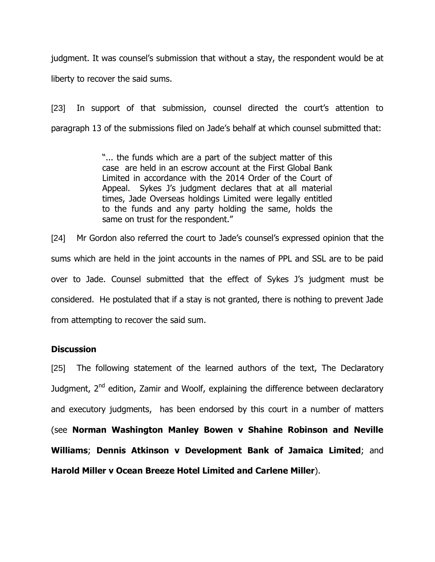judgment. It was counsel's submission that without a stay, the respondent would be at liberty to recover the said sums.

[23] In support of that submission, counsel directed the court's attention to paragraph 13 of the submissions filed on Jade"s behalf at which counsel submitted that:

> "... the funds which are a part of the subject matter of this case are held in an escrow account at the First Global Bank Limited in accordance with the 2014 Order of the Court of Appeal. Sykes J"s judgment declares that at all material times, Jade Overseas holdings Limited were legally entitled to the funds and any party holding the same, holds the same on trust for the respondent."

[24] Mr Gordon also referred the court to Jade"s counsel"s expressed opinion that the sums which are held in the joint accounts in the names of PPL and SSL are to be paid over to Jade. Counsel submitted that the effect of Sykes J"s judgment must be considered. He postulated that if a stay is not granted, there is nothing to prevent Jade from attempting to recover the said sum.

#### **Discussion**

[25] The following statement of the learned authors of the text, The Declaratory Judgment,  $2^{nd}$  edition, Zamir and Woolf, explaining the difference between declaratory and executory judgments, has been endorsed by this court in a number of matters (see **Norman Washington Manley Bowen v Shahine Robinson and Neville Williams**; **Dennis Atkinson v Development Bank of Jamaica Limited**; and **Harold Miller v Ocean Breeze Hotel Limited and Carlene Miller**).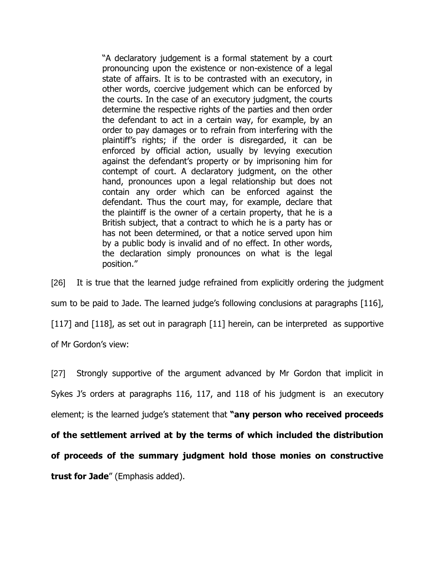"A declaratory judgement is a formal statement by a court pronouncing upon the existence or non-existence of a legal state of affairs. It is to be contrasted with an executory, in other words, coercive judgement which can be enforced by the courts. In the case of an executory judgment, the courts determine the respective rights of the parties and then order the defendant to act in a certain way, for example, by an order to pay damages or to refrain from interfering with the plaintiff"s rights; if the order is disregarded, it can be enforced by official action, usually by levying execution against the defendant"s property or by imprisoning him for contempt of court. A declaratory judgment, on the other hand, pronounces upon a legal relationship but does not contain any order which can be enforced against the defendant. Thus the court may, for example, declare that the plaintiff is the owner of a certain property, that he is a British subject, that a contract to which he is a party has or has not been determined, or that a notice served upon him by a public body is invalid and of no effect. In other words, the declaration simply pronounces on what is the legal position."

[26] It is true that the learned judge refrained from explicitly ordering the judgment sum to be paid to Jade. The learned judge"s following conclusions at paragraphs [116], [117] and [118], as set out in paragraph [11] herein, can be interpreted as supportive of Mr Gordon"s view:

[27] Strongly supportive of the argument advanced by Mr Gordon that implicit in Sykes J's orders at paragraphs 116, 117, and 118 of his judgment is an executory element; is the learned judge"s statement that **"any person who received proceeds of the settlement arrived at by the terms of which included the distribution of proceeds of the summary judgment hold those monies on constructive trust for Jade**" (Emphasis added).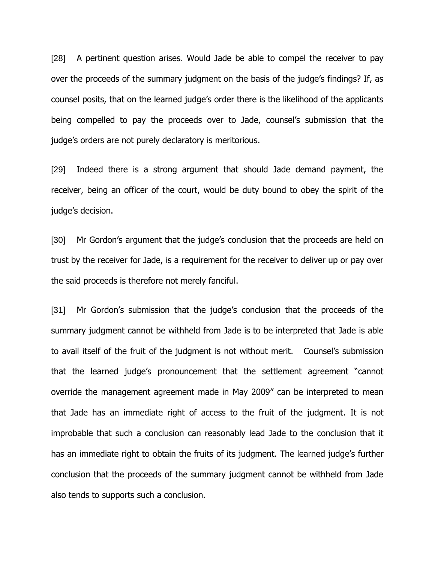[28] A pertinent question arises. Would Jade be able to compel the receiver to pay over the proceeds of the summary judgment on the basis of the judge"s findings? If, as counsel posits, that on the learned judge"s order there is the likelihood of the applicants being compelled to pay the proceeds over to Jade, counsel's submission that the judge's orders are not purely declaratory is meritorious.

[29] Indeed there is a strong argument that should Jade demand payment, the receiver, being an officer of the court, would be duty bound to obey the spirit of the judge's decision.

[30] Mr Gordon's argument that the judge's conclusion that the proceeds are held on trust by the receiver for Jade, is a requirement for the receiver to deliver up or pay over the said proceeds is therefore not merely fanciful.

[31] Mr Gordon's submission that the judge's conclusion that the proceeds of the summary judgment cannot be withheld from Jade is to be interpreted that Jade is able to avail itself of the fruit of the judgment is not without merit. Counsel"s submission that the learned judge"s pronouncement that the settlement agreement "cannot override the management agreement made in May 2009" can be interpreted to mean that Jade has an immediate right of access to the fruit of the judgment. It is not improbable that such a conclusion can reasonably lead Jade to the conclusion that it has an immediate right to obtain the fruits of its judgment. The learned judge's further conclusion that the proceeds of the summary judgment cannot be withheld from Jade also tends to supports such a conclusion.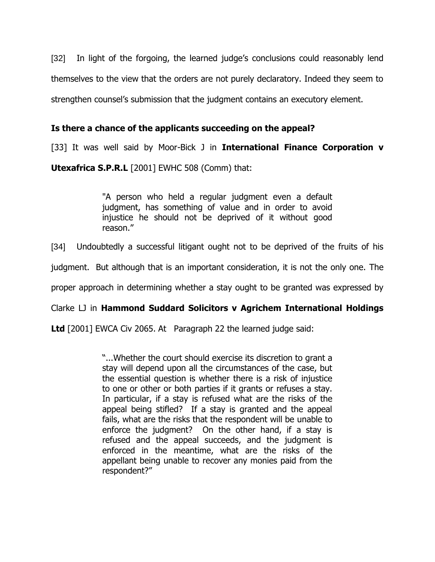[32] In light of the forgoing, the learned judge's conclusions could reasonably lend themselves to the view that the orders are not purely declaratory. Indeed they seem to strengthen counsel"s submission that the judgment contains an executory element.

## **Is there a chance of the applicants succeeding on the appeal?**

[33] It was well said by Moor-Bick J in **International Finance Corporation v** 

**Utexafrica S.P.R.L** [2001] EWHC 508 (Comm) that:

"A person who held a regular judgment even a default judgment, has something of value and in order to avoid injustice he should not be deprived of it without good reason."

[34] Undoubtedly a successful litigant ought not to be deprived of the fruits of his

judgment. But although that is an important consideration, it is not the only one. The

proper approach in determining whether a stay ought to be granted was expressed by

#### Clarke LJ in **Hammond Suddard Solicitors v Agrichem International Holdings**

**Ltd** [2001] EWCA Civ 2065. At Paragraph 22 the learned judge said:

"...Whether the court should exercise its discretion to grant a stay will depend upon all the circumstances of the case, but the essential question is whether there is a risk of injustice to one or other or both parties if it grants or refuses a stay. In particular, if a stay is refused what are the risks of the appeal being stifled? If a stay is granted and the appeal fails, what are the risks that the respondent will be unable to enforce the judgment? On the other hand, if a stay is refused and the appeal succeeds, and the judgment is enforced in the meantime, what are the risks of the appellant being unable to recover any monies paid from the respondent?"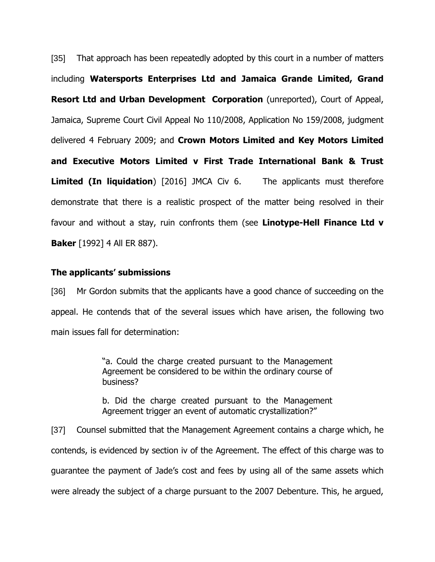[35] That approach has been repeatedly adopted by this court in a number of matters including **Watersports Enterprises Ltd and Jamaica Grande Limited, Grand Resort Ltd and Urban Development Corporation** (unreported), Court of Appeal, Jamaica, Supreme Court Civil Appeal No 110/2008, Application No 159/2008, judgment delivered 4 February 2009; and **Crown Motors Limited and Key Motors Limited and Executive Motors Limited v First Trade International Bank & Trust Limited (In liquidation**) [2016] JMCA Civ 6. The applicants must therefore demonstrate that there is a realistic prospect of the matter being resolved in their favour and without a stay, ruin confronts them (see **Linotype-Hell Finance Ltd v Baker** [1992] 4 All ER 887).

#### **The applicants' submissions**

[36] Mr Gordon submits that the applicants have a good chance of succeeding on the appeal. He contends that of the several issues which have arisen, the following two main issues fall for determination:

> "a. Could the charge created pursuant to the Management Agreement be considered to be within the ordinary course of business?

> b. Did the charge created pursuant to the Management Agreement trigger an event of automatic crystallization?"

[37] Counsel submitted that the Management Agreement contains a charge which, he contends, is evidenced by section iv of the Agreement. The effect of this charge was to guarantee the payment of Jade"s cost and fees by using all of the same assets which were already the subject of a charge pursuant to the 2007 Debenture. This, he argued,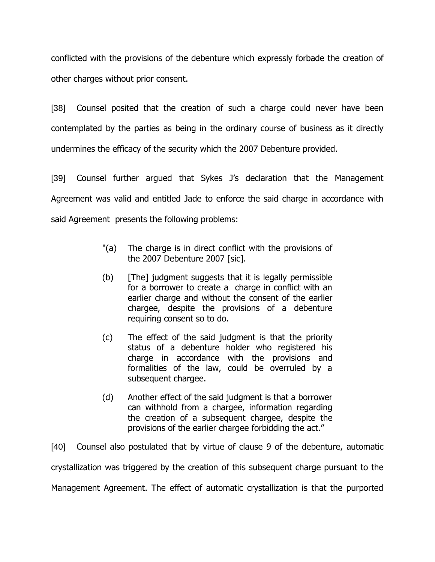conflicted with the provisions of the debenture which expressly forbade the creation of other charges without prior consent.

[38] Counsel posited that the creation of such a charge could never have been contemplated by the parties as being in the ordinary course of business as it directly undermines the efficacy of the security which the 2007 Debenture provided.

[39] Counsel further argued that Sykes J's declaration that the Management Agreement was valid and entitled Jade to enforce the said charge in accordance with said Agreement presents the following problems:

- "(a) The charge is in direct conflict with the provisions of the 2007 Debenture 2007 [sic].
- (b) [The] judgment suggests that it is legally permissible for a borrower to create a charge in conflict with an earlier charge and without the consent of the earlier chargee, despite the provisions of a debenture requiring consent so to do.
- (c) The effect of the said judgment is that the priority status of a debenture holder who registered his charge in accordance with the provisions and formalities of the law, could be overruled by a subsequent chargee.
- (d) Another effect of the said judgment is that a borrower can withhold from a chargee, information regarding the creation of a subsequent chargee, despite the provisions of the earlier chargee forbidding the act."

[40] Counsel also postulated that by virtue of clause 9 of the debenture, automatic crystallization was triggered by the creation of this subsequent charge pursuant to the Management Agreement. The effect of automatic crystallization is that the purported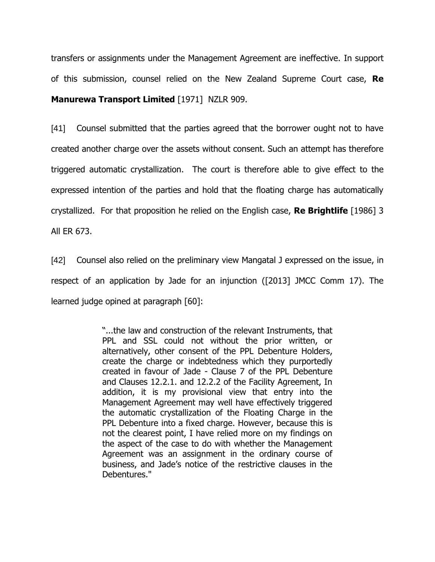transfers or assignments under the Management Agreement are ineffective. In support of this submission, counsel relied on the New Zealand Supreme Court case, **Re Manurewa Transport Limited** [1971] NZLR 909.

[41] Counsel submitted that the parties agreed that the borrower ought not to have created another charge over the assets without consent. Such an attempt has therefore triggered automatic crystallization. The court is therefore able to give effect to the expressed intention of the parties and hold that the floating charge has automatically crystallized. For that proposition he relied on the English case, **Re Brightlife** [1986] 3 All ER 673.

[42] Counsel also relied on the preliminary view Mangatal J expressed on the issue, in respect of an application by Jade for an injunction ([2013] JMCC Comm 17). The learned judge opined at paragraph [60]:

> "...the law and construction of the relevant Instruments, that PPL and SSL could not without the prior written, or alternatively, other consent of the PPL Debenture Holders, create the charge or indebtedness which they purportedly created in favour of Jade - Clause 7 of the PPL Debenture and Clauses 12.2.1. and 12.2.2 of the Facility Agreement, In addition, it is my provisional view that entry into the Management Agreement may well have effectively triggered the automatic crystallization of the Floating Charge in the PPL Debenture into a fixed charge. However, because this is not the clearest point, I have relied more on my findings on the aspect of the case to do with whether the Management Agreement was an assignment in the ordinary course of business, and Jade"s notice of the restrictive clauses in the Debentures."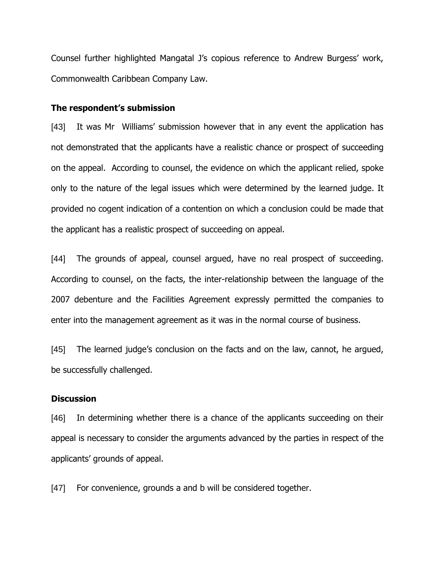Counsel further highlighted Mangatal J"s copious reference to Andrew Burgess" work, Commonwealth Caribbean Company Law.

#### **The respondent's submission**

[43] It was Mr Williams' submission however that in any event the application has not demonstrated that the applicants have a realistic chance or prospect of succeeding on the appeal. According to counsel, the evidence on which the applicant relied, spoke only to the nature of the legal issues which were determined by the learned judge. It provided no cogent indication of a contention on which a conclusion could be made that the applicant has a realistic prospect of succeeding on appeal.

[44] The grounds of appeal, counsel argued, have no real prospect of succeeding. According to counsel, on the facts, the inter-relationship between the language of the 2007 debenture and the Facilities Agreement expressly permitted the companies to enter into the management agreement as it was in the normal course of business.

[45] The learned judge's conclusion on the facts and on the law, cannot, he argued, be successfully challenged.

#### **Discussion**

[46] In determining whether there is a chance of the applicants succeeding on their appeal is necessary to consider the arguments advanced by the parties in respect of the applicants' grounds of appeal.

[47] For convenience, grounds a and b will be considered together.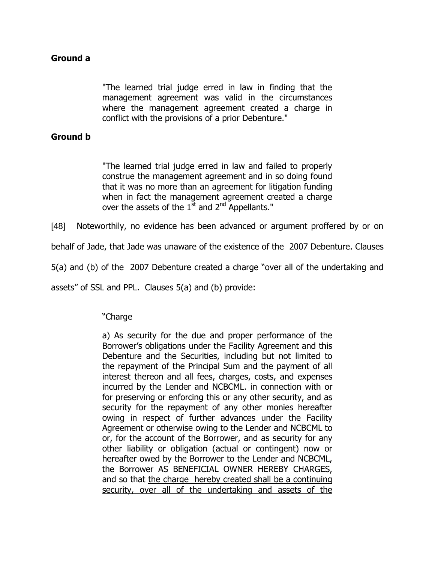# **Ground a**

"The learned trial judge erred in law in finding that the management agreement was valid in the circumstances where the management agreement created a charge in conflict with the provisions of a prior Debenture."

## **Ground b**

"The learned trial judge erred in law and failed to properly construe the management agreement and in so doing found that it was no more than an agreement for litigation funding when in fact the management agreement created a charge over the assets of the  $1<sup>st</sup>$  and  $2<sup>nd</sup>$  Appellants."

[48] Noteworthily, no evidence has been advanced or argument proffered by or on

behalf of Jade, that Jade was unaware of the existence of the 2007 Debenture. Clauses

5(a) and (b) of the 2007 Debenture created a charge "over all of the undertaking and

assets" of SSL and PPL. Clauses 5(a) and (b) provide:

## "Charge

a) As security for the due and proper performance of the Borrower"s obligations under the Facility Agreement and this Debenture and the Securities, including but not limited to the repayment of the Principal Sum and the payment of all interest thereon and all fees, charges, costs, and expenses incurred by the Lender and NCBCML. in connection with or for preserving or enforcing this or any other security, and as security for the repayment of any other monies hereafter owing in respect of further advances under the Facility Agreement or otherwise owing to the Lender and NCBCML to or, for the account of the Borrower, and as security for any other liability or obligation (actual or contingent) now or hereafter owed by the Borrower to the Lender and NCBCML, the Borrower AS BENEFICIAL OWNER HEREBY CHARGES, and so that the charge hereby created shall be a continuing security, over all of the undertaking and assets of the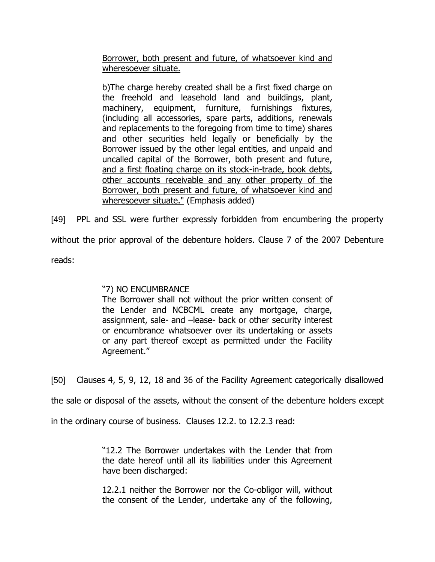Borrower, both present and future, of whatsoever kind and wheresoever situate.

b)The charge hereby created shall be a first fixed charge on the freehold and leasehold land and buildings, plant, machinery, equipment, furniture, furnishings fixtures, (including all accessories, spare parts, additions, renewals and replacements to the foregoing from time to time) shares and other securities held legally or beneficially by the Borrower issued by the other legal entities, and unpaid and uncalled capital of the Borrower, both present and future, and a first floating charge on its stock-in-trade, book debts, other accounts receivable and any other property of the Borrower, both present and future, of whatsoever kind and wheresoever situate." (Emphasis added)

[49] PPL and SSL were further expressly forbidden from encumbering the property without the prior approval of the debenture holders. Clause 7 of the 2007 Debenture reads:

"7) NO ENCUMBRANCE

The Borrower shall not without the prior written consent of the Lender and NCBCML create any mortgage, charge, assignment, sale- and –lease- back or other security interest or encumbrance whatsoever over its undertaking or assets or any part thereof except as permitted under the Facility Agreement."

[50] Clauses 4, 5, 9, 12, 18 and 36 of the Facility Agreement categorically disallowed

the sale or disposal of the assets, without the consent of the debenture holders except

in the ordinary course of business. Clauses 12.2. to 12.2.3 read:

"12.2 The Borrower undertakes with the Lender that from the date hereof until all its liabilities under this Agreement have been discharged:

12.2.1 neither the Borrower nor the Co-obligor will, without the consent of the Lender, undertake any of the following,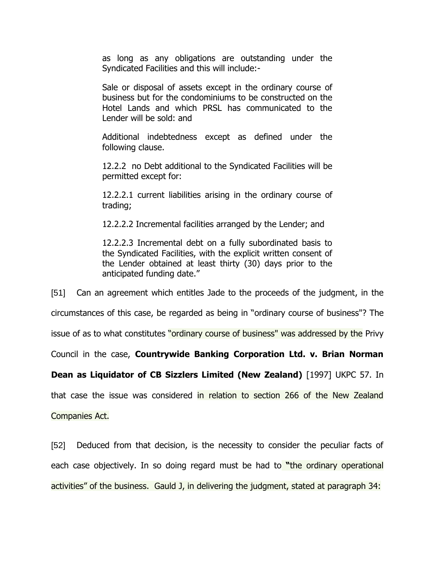as long as any obligations are outstanding under the Syndicated Facilities and this will include:-

Sale or disposal of assets except in the ordinary course of business but for the condominiums to be constructed on the Hotel Lands and which PRSL has communicated to the Lender will be sold: and

Additional indebtedness except as defined under the following clause.

12.2.2 no Debt additional to the Syndicated Facilities will be permitted except for:

12.2.2.1 current liabilities arising in the ordinary course of trading;

12.2.2.2 Incremental facilities arranged by the Lender; and

12.2.2.3 Incremental debt on a fully subordinated basis to the Syndicated Facilities, with the explicit written consent of the Lender obtained at least thirty (30) days prior to the anticipated funding date."

[51] Can an agreement which entitles Jade to the proceeds of the judgment, in the circumstances of this case, be regarded as being in "ordinary course of business"? The issue of as to what constitutes "ordinary course of business" was addressed by the Privy Council in the case, **Countrywide Banking Corporation Ltd. v. Brian Norman Dean as Liquidator of CB Sizzlers Limited (New Zealand)** [1997] UKPC 57. In that case the issue was considered in relation to section 266 of the New Zealand Companies Act.

[52] Deduced from that decision, is the necessity to consider the peculiar facts of each case objectively. In so doing regard must be had to **"**the ordinary operational activities" of the business. Gauld J, in delivering the judgment, stated at paragraph 34: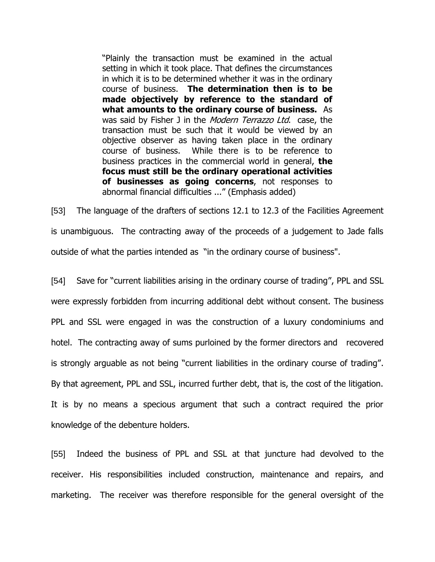"Plainly the transaction must be examined in the actual setting in which it took place. That defines the circumstances in which it is to be determined whether it was in the ordinary course of business. **The determination then is to be made objectively by reference to the standard of what amounts to the ordinary course of business.** As was said by Fisher J in the Modern Terrazzo Ltd. case, the transaction must be such that it would be viewed by an objective observer as having taken place in the ordinary course of business. While there is to be reference to business practices in the commercial world in general, **the focus must still be the ordinary operational activities of businesses as going concerns**, not responses to abnormal financial difficulties ..." (Emphasis added)

[53] The language of the drafters of sections 12.1 to 12.3 of the Facilities Agreement is unambiguous. The contracting away of the proceeds of a judgement to Jade falls outside of what the parties intended as "in the ordinary course of business".

[54] Save for "current liabilities arising in the ordinary course of trading", PPL and SSL were expressly forbidden from incurring additional debt without consent. The business PPL and SSL were engaged in was the construction of a luxury condominiums and hotel. The contracting away of sums purloined by the former directors and recovered is strongly arguable as not being "current liabilities in the ordinary course of trading". By that agreement, PPL and SSL, incurred further debt, that is, the cost of the litigation. It is by no means a specious argument that such a contract required the prior knowledge of the debenture holders.

[55] Indeed the business of PPL and SSL at that juncture had devolved to the receiver. His responsibilities included construction, maintenance and repairs, and marketing. The receiver was therefore responsible for the general oversight of the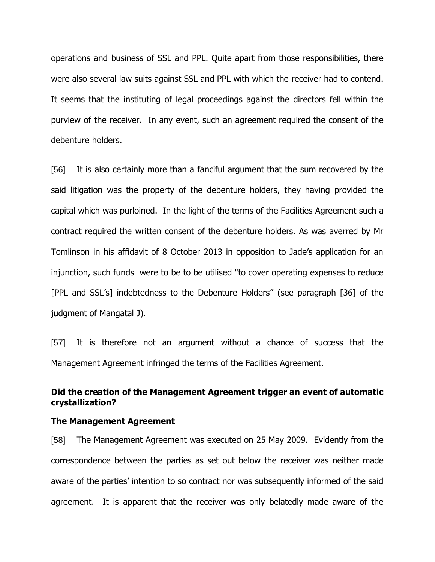operations and business of SSL and PPL. Quite apart from those responsibilities, there were also several law suits against SSL and PPL with which the receiver had to contend. It seems that the instituting of legal proceedings against the directors fell within the purview of the receiver. In any event, such an agreement required the consent of the debenture holders.

[56] It is also certainly more than a fanciful argument that the sum recovered by the said litigation was the property of the debenture holders, they having provided the capital which was purloined. In the light of the terms of the Facilities Agreement such a contract required the written consent of the debenture holders. As was averred by Mr Tomlinson in his affidavit of 8 October 2013 in opposition to Jade"s application for an injunction, such funds were to be to be utilised "to cover operating expenses to reduce [PPL and SSL"s] indebtedness to the Debenture Holders" (see paragraph [36] of the judgment of Mangatal J).

[57] It is therefore not an argument without a chance of success that the Management Agreement infringed the terms of the Facilities Agreement.

## **Did the creation of the Management Agreement trigger an event of automatic crystallization?**

#### **The Management Agreement**

[58] The Management Agreement was executed on 25 May 2009. Evidently from the correspondence between the parties as set out below the receiver was neither made aware of the parties' intention to so contract nor was subsequently informed of the said agreement. It is apparent that the receiver was only belatedly made aware of the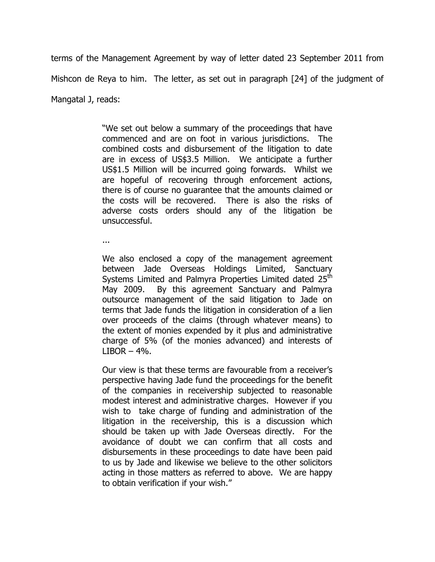terms of the Management Agreement by way of letter dated 23 September 2011 from Mishcon de Reya to him. The letter, as set out in paragraph [24] of the judgment of Mangatal J, reads:

> "We set out below a summary of the proceedings that have commenced and are on foot in various jurisdictions. The combined costs and disbursement of the litigation to date are in excess of US\$3.5 Million. We anticipate a further US\$1.5 Million will be incurred going forwards. Whilst we are hopeful of recovering through enforcement actions, there is of course no guarantee that the amounts claimed or the costs will be recovered. There is also the risks of adverse costs orders should any of the litigation be unsuccessful.

...

We also enclosed a copy of the management agreement between Jade Overseas Holdings Limited, Sanctuary Systems Limited and Palmyra Properties Limited dated 25<sup>th</sup> May 2009. By this agreement Sanctuary and Palmyra outsource management of the said litigation to Jade on terms that Jade funds the litigation in consideration of a lien over proceeds of the claims (through whatever means) to the extent of monies expended by it plus and administrative charge of 5% (of the monies advanced) and interests of  $LIBOR - 4\%$ .

Our view is that these terms are favourable from a receiver"s perspective having Jade fund the proceedings for the benefit of the companies in receivership subjected to reasonable modest interest and administrative charges. However if you wish to take charge of funding and administration of the litigation in the receivership, this is a discussion which should be taken up with Jade Overseas directly. For the avoidance of doubt we can confirm that all costs and disbursements in these proceedings to date have been paid to us by Jade and likewise we believe to the other solicitors acting in those matters as referred to above. We are happy to obtain verification if your wish."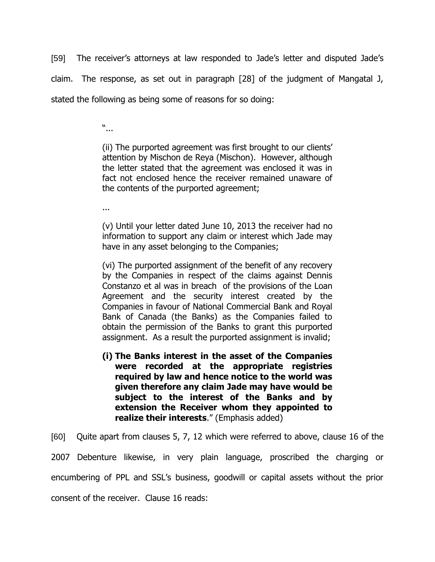[59] The receiver"s attorneys at law responded to Jade"s letter and disputed Jade"s claim. The response, as set out in paragraph [28] of the judgment of Mangatal J, stated the following as being some of reasons for so doing:

"...

(ii) The purported agreement was first brought to our clients" attention by Mischon de Reya (Mischon). However, although the letter stated that the agreement was enclosed it was in fact not enclosed hence the receiver remained unaware of the contents of the purported agreement;

...

(v) Until your letter dated June 10, 2013 the receiver had no information to support any claim or interest which Jade may have in any asset belonging to the Companies;

(vi) The purported assignment of the benefit of any recovery by the Companies in respect of the claims against Dennis Constanzo et al was in breach of the provisions of the Loan Agreement and the security interest created by the Companies in favour of National Commercial Bank and Royal Bank of Canada (the Banks) as the Companies failed to obtain the permission of the Banks to grant this purported assignment. As a result the purported assignment is invalid;

**(i) The Banks interest in the asset of the Companies were recorded at the appropriate registries required by law and hence notice to the world was given therefore any claim Jade may have would be subject to the interest of the Banks and by extension the Receiver whom they appointed to realize their interests**." (Emphasis added)

[60] Quite apart from clauses 5, 7, 12 which were referred to above, clause 16 of the

2007 Debenture likewise, in very plain language, proscribed the charging or encumbering of PPL and SSL"s business, goodwill or capital assets without the prior consent of the receiver. Clause 16 reads: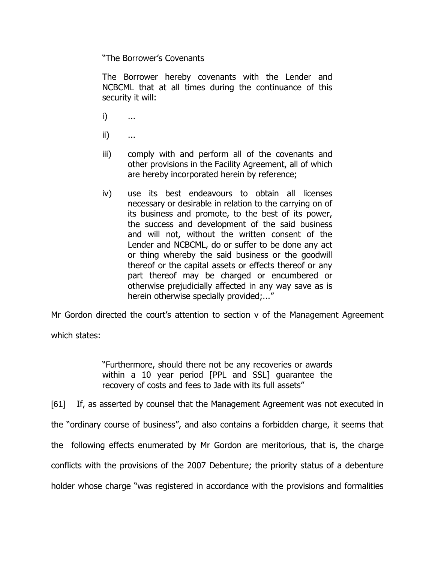"The Borrower"s Covenants

The Borrower hereby covenants with the Lender and NCBCML that at all times during the continuance of this security it will:

- i) ...
- ii) ...
- iii) comply with and perform all of the covenants and other provisions in the Facility Agreement, all of which are hereby incorporated herein by reference;
- iv) use its best endeavours to obtain all licenses necessary or desirable in relation to the carrying on of its business and promote, to the best of its power, the success and development of the said business and will not, without the written consent of the Lender and NCBCML, do or suffer to be done any act or thing whereby the said business or the goodwill thereof or the capital assets or effects thereof or any part thereof may be charged or encumbered or otherwise prejudicially affected in any way save as is herein otherwise specially provided;..."

Mr Gordon directed the court"s attention to section v of the Management Agreement

which states:

"Furthermore, should there not be any recoveries or awards within a 10 year period [PPL and SSL] guarantee the recovery of costs and fees to Jade with its full assets"

[61] If, as asserted by counsel that the Management Agreement was not executed in the "ordinary course of business", and also contains a forbidden charge, it seems that the following effects enumerated by Mr Gordon are meritorious, that is, the charge conflicts with the provisions of the 2007 Debenture; the priority status of a debenture holder whose charge "was registered in accordance with the provisions and formalities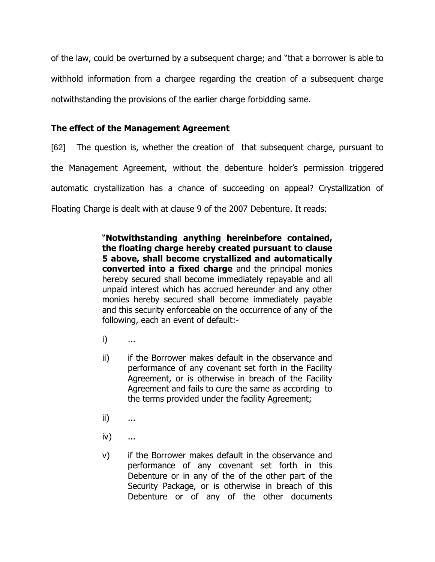of the law, could be overturned by a subsequent charge; and "that a borrower is able to withhold information from a chargee regarding the creation of a subsequent charge notwithstanding the provisions of the earlier charge forbidding same.

## **The effect of the Management Agreement**

[62] The question is, whether the creation of that subsequent charge, pursuant to the Management Agreement, without the debenture holder"s permission triggered automatic crystallization has a chance of succeeding on appeal? Crystallization of Floating Charge is dealt with at clause 9 of the 2007 Debenture. It reads:

> "**Notwithstanding anything hereinbefore contained, the floating charge hereby created pursuant to clause 5 above, shall become crystallized and automatically converted into a fixed charge** and the principal monies hereby secured shall become immediately repayable and all unpaid interest which has accrued hereunder and any other monies hereby secured shall become immediately payable and this security enforceable on the occurrence of any of the following, each an event of default:-

- i) ...
- ii) if the Borrower makes default in the observance and performance of any covenant set forth in the Facility Agreement, or is otherwise in breach of the Facility Agreement and fails to cure the same as according to the terms provided under the facility Agreement;
- ii) ...
- iv) ...
- v) if the Borrower makes default in the observance and performance of any covenant set forth in this Debenture or in any of the of the other part of the Security Package, or is otherwise in breach of this Debenture or of any of the other documents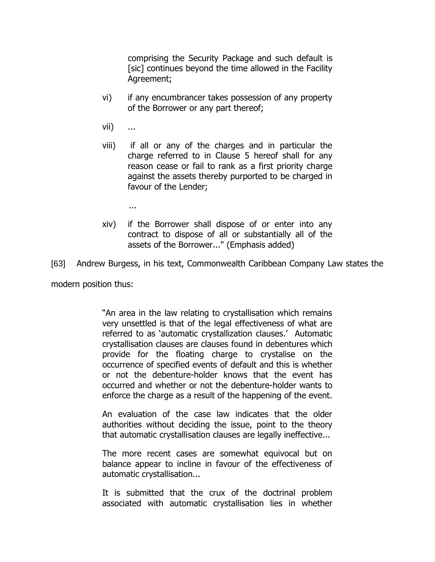comprising the Security Package and such default is [sic] continues beyond the time allowed in the Facility Agreement;

- vi) if any encumbrancer takes possession of any property of the Borrower or any part thereof;
- vii) ...
- viii) if all or any of the charges and in particular the charge referred to in Clause 5 hereof shall for any reason cease or fail to rank as a first priority charge against the assets thereby purported to be charged in favour of the Lender;
	- ...
- xiv) if the Borrower shall dispose of or enter into any contract to dispose of all or substantially all of the assets of the Borrower..." (Emphasis added)

[63] Andrew Burgess, in his text, Commonwealth Caribbean Company Law states the

modern position thus:

"An area in the law relating to crystallisation which remains very unsettled is that of the legal effectiveness of what are referred to as 'automatic crystallization clauses.' Automatic crystallisation clauses are clauses found in debentures which provide for the floating charge to crystalise on the occurrence of specified events of default and this is whether or not the debenture-holder knows that the event has occurred and whether or not the debenture-holder wants to enforce the charge as a result of the happening of the event.

An evaluation of the case law indicates that the older authorities without deciding the issue, point to the theory that automatic crystallisation clauses are legally ineffective...

The more recent cases are somewhat equivocal but on balance appear to incline in favour of the effectiveness of automatic crystallisation...

It is submitted that the crux of the doctrinal problem associated with automatic crystallisation lies in whether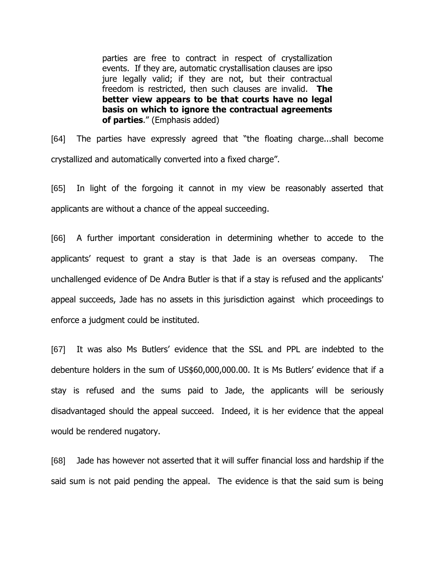parties are free to contract in respect of crystallization events. If they are, automatic crystallisation clauses are ipso jure legally valid; if they are not, but their contractual freedom is restricted, then such clauses are invalid. **The better view appears to be that courts have no legal basis on which to ignore the contractual agreements of parties**." (Emphasis added)

[64] The parties have expressly agreed that "the floating charge...shall become crystallized and automatically converted into a fixed charge".

[65] In light of the forgoing it cannot in my view be reasonably asserted that applicants are without a chance of the appeal succeeding.

[66] A further important consideration in determining whether to accede to the applicants' request to grant a stay is that Jade is an overseas company. The unchallenged evidence of De Andra Butler is that if a stay is refused and the applicants' appeal succeeds, Jade has no assets in this jurisdiction against which proceedings to enforce a judgment could be instituted.

[67] It was also Ms Butlers" evidence that the SSL and PPL are indebted to the debenture holders in the sum of US\$60,000,000.00. It is Ms Butlers" evidence that if a stay is refused and the sums paid to Jade, the applicants will be seriously disadvantaged should the appeal succeed. Indeed, it is her evidence that the appeal would be rendered nugatory.

[68] Jade has however not asserted that it will suffer financial loss and hardship if the said sum is not paid pending the appeal. The evidence is that the said sum is being